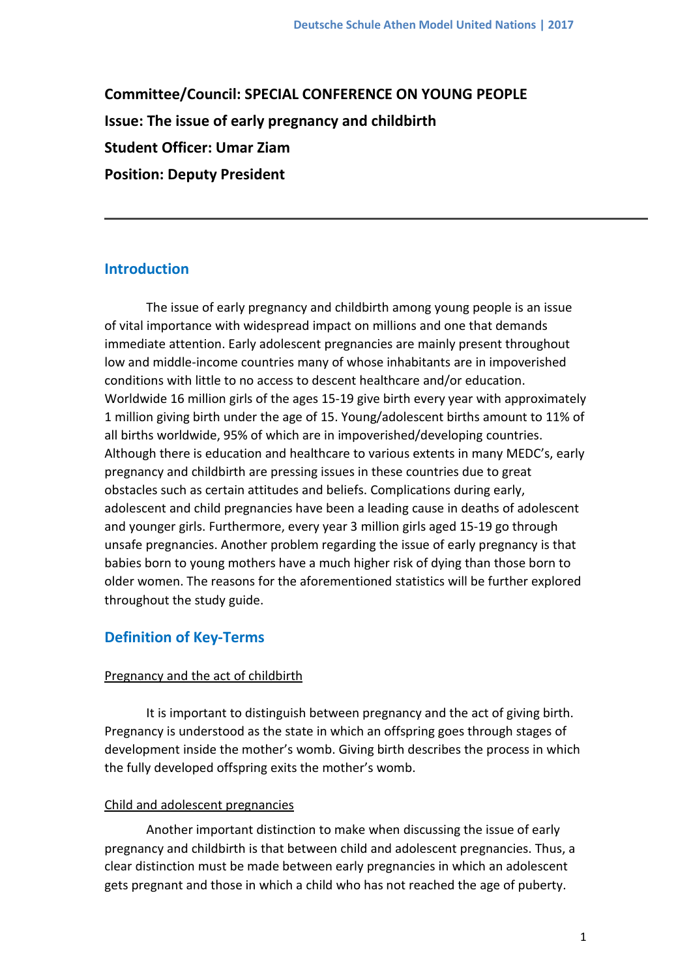**Committee/Council: SPECIAL CONFERENCE ON YOUNG PEOPLE Issue: The issue of early pregnancy and childbirth Student Officer: Umar Ziam Position: Deputy President**

## **Introduction**

The issue of early pregnancy and childbirth among young people is an issue of vital importance with widespread impact on millions and one that demands immediate attention. Early adolescent pregnancies are mainly present throughout low and middle-income countries many of whose inhabitants are in impoverished conditions with little to no access to descent healthcare and/or education. Worldwide 16 million girls of the ages 15-19 give birth every year with approximately 1 million giving birth under the age of 15. Young/adolescent births amount to 11% of all births worldwide, 95% of which are in impoverished/developing countries. Although there is education and healthcare to various extents in many MEDC's, early pregnancy and childbirth are pressing issues in these countries due to great obstacles such as certain attitudes and beliefs. Complications during early, adolescent and child pregnancies have been a leading cause in deaths of adolescent and younger girls. Furthermore, every year 3 million girls aged 15-19 go through unsafe pregnancies. Another problem regarding the issue of early pregnancy is that babies born to young mothers have a much higher risk of dying than those born to older women. The reasons for the aforementioned statistics will be further explored throughout the study guide.

## **Definition of Key-Terms**

## Pregnancy and the act of childbirth

It is important to distinguish between pregnancy and the act of giving birth. Pregnancy is understood as the state in which an offspring goes through stages of development inside the mother's womb. Giving birth describes the process in which the fully developed offspring exits the mother's womb.

### Child and adolescent pregnancies

Another important distinction to make when discussing the issue of early pregnancy and childbirth is that between child and adolescent pregnancies. Thus, a clear distinction must be made between early pregnancies in which an adolescent gets pregnant and those in which a child who has not reached the age of puberty.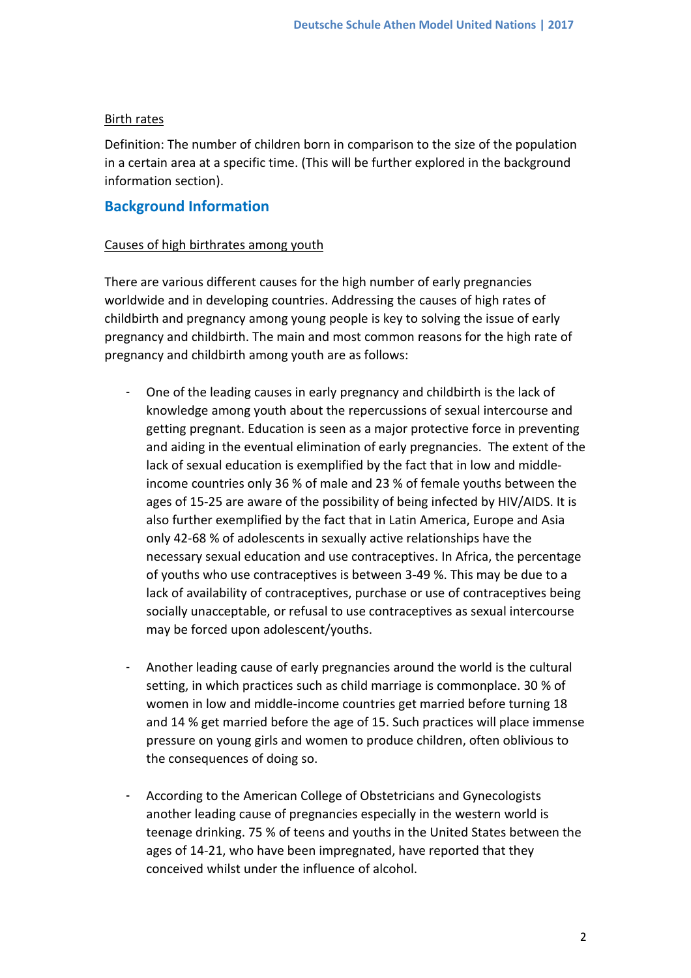#### Birth rates

Definition: The number of children born in comparison to the size of the population in a certain area at a specific time. (This will be further explored in the background information section).

## **Background Information**

#### Causes of high birthrates among youth

There are various different causes for the high number of early pregnancies worldwide and in developing countries. Addressing the causes of high rates of childbirth and pregnancy among young people is key to solving the issue of early pregnancy and childbirth. The main and most common reasons for the high rate of pregnancy and childbirth among youth are as follows:

- One of the leading causes in early pregnancy and childbirth is the lack of knowledge among youth about the repercussions of sexual intercourse and getting pregnant. Education is seen as a major protective force in preventing and aiding in the eventual elimination of early pregnancies. The extent of the lack of sexual education is exemplified by the fact that in low and middleincome countries only 36 % of male and 23 % of female youths between the ages of 15-25 are aware of the possibility of being infected by HIV/AIDS. It is also further exemplified by the fact that in Latin America, Europe and Asia only 42-68 % of adolescents in sexually active relationships have the necessary sexual education and use contraceptives. In Africa, the percentage of youths who use contraceptives is between 3-49 %. This may be due to a lack of availability of contraceptives, purchase or use of contraceptives being socially unacceptable, or refusal to use contraceptives as sexual intercourse may be forced upon adolescent/youths.
- Another leading cause of early pregnancies around the world is the cultural setting, in which practices such as child marriage is commonplace. 30 % of women in low and middle-income countries get married before turning 18 and 14 % get married before the age of 15. Such practices will place immense pressure on young girls and women to produce children, often oblivious to the consequences of doing so.
- According to the American College of Obstetricians and Gynecologists another leading cause of pregnancies especially in the western world is teenage drinking. 75 % of teens and youths in the United States between the ages of 14-21, who have been impregnated, have reported that they conceived whilst under the influence of alcohol.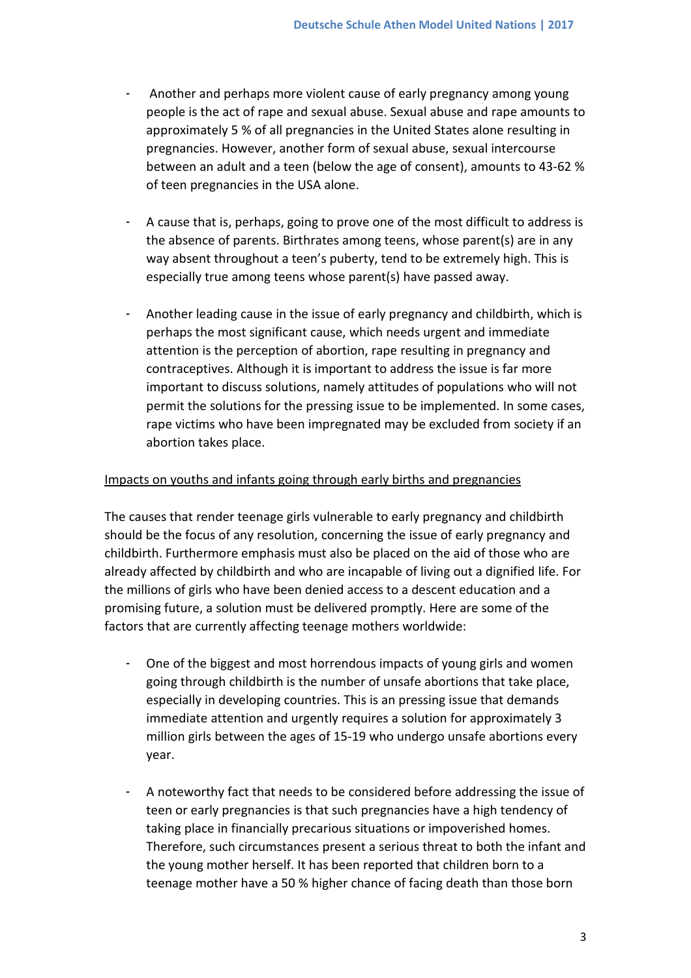- Another and perhaps more violent cause of early pregnancy among young people is the act of rape and sexual abuse. Sexual abuse and rape amounts to approximately 5 % of all pregnancies in the United States alone resulting in pregnancies. However, another form of sexual abuse, sexual intercourse between an adult and a teen (below the age of consent), amounts to 43-62 % of teen pregnancies in the USA alone.
- A cause that is, perhaps, going to prove one of the most difficult to address is the absence of parents. Birthrates among teens, whose parent(s) are in any way absent throughout a teen's puberty, tend to be extremely high. This is especially true among teens whose parent(s) have passed away.
- Another leading cause in the issue of early pregnancy and childbirth, which is perhaps the most significant cause, which needs urgent and immediate attention is the perception of abortion, rape resulting in pregnancy and contraceptives. Although it is important to address the issue is far more important to discuss solutions, namely attitudes of populations who will not permit the solutions for the pressing issue to be implemented. In some cases, rape victims who have been impregnated may be excluded from society if an abortion takes place.

### Impacts on youths and infants going through early births and pregnancies

The causes that render teenage girls vulnerable to early pregnancy and childbirth should be the focus of any resolution, concerning the issue of early pregnancy and childbirth. Furthermore emphasis must also be placed on the aid of those who are already affected by childbirth and who are incapable of living out a dignified life. For the millions of girls who have been denied access to a descent education and a promising future, a solution must be delivered promptly. Here are some of the factors that are currently affecting teenage mothers worldwide:

- One of the biggest and most horrendous impacts of young girls and women going through childbirth is the number of unsafe abortions that take place, especially in developing countries. This is an pressing issue that demands immediate attention and urgently requires a solution for approximately 3 million girls between the ages of 15-19 who undergo unsafe abortions every year.
- A noteworthy fact that needs to be considered before addressing the issue of teen or early pregnancies is that such pregnancies have a high tendency of taking place in financially precarious situations or impoverished homes. Therefore, such circumstances present a serious threat to both the infant and the young mother herself. It has been reported that children born to a teenage mother have a 50 % higher chance of facing death than those born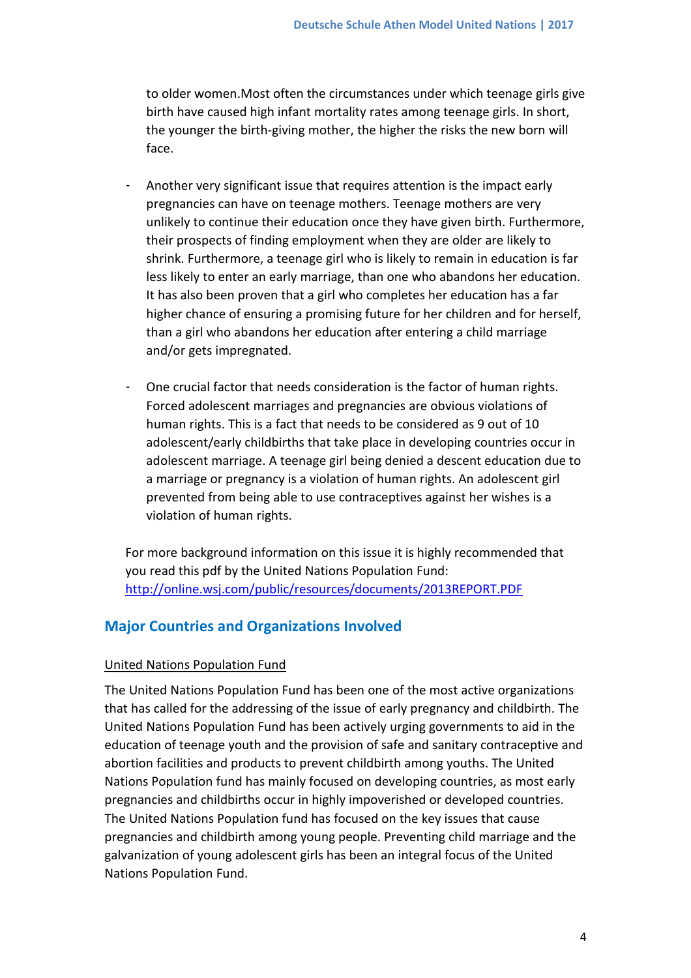to older women.Most often the circumstances under which teenage girls give birth have caused high infant mortality rates among teenage girls. In short, the younger the birth-giving mother, the higher the risks the new born will face.

- Another very significant issue that requires attention is the impact early pregnancies can have on teenage mothers. Teenage mothers are very unlikely to continue their education once they have given birth. Furthermore, their prospects of finding employment when they are older are likely to shrink. Furthermore, a teenage girl who is likely to remain in education is far less likely to enter an early marriage, than one who abandons her education. It has also been proven that a girl who completes her education has a far higher chance of ensuring a promising future for her children and for herself, than a girl who abandons her education after entering a child marriage and/or gets impregnated.
- One crucial factor that needs consideration is the factor of human rights. Forced adolescent marriages and pregnancies are obvious violations of human rights. This is a fact that needs to be considered as 9 out of 10 adolescent/early childbirths that take place in developing countries occur in adolescent marriage. A teenage girl being denied a descent education due to a marriage or pregnancy is a violation of human rights. An adolescent girl prevented from being able to use contraceptives against her wishes is a violation of human rights.

For more background information on this issue it is highly recommended that you read this pdf by the United Nations Population Fund: <http://online.wsj.com/public/resources/documents/2013REPORT.PDF>

## **Major Countries and Organizations Involved**

### United Nations Population Fund

The United Nations Population Fund has been one of the most active organizations that has called for the addressing of the issue of early pregnancy and childbirth. The United Nations Population Fund has been actively urging governments to aid in the education of teenage youth and the provision of safe and sanitary contraceptive and abortion facilities and products to prevent childbirth among youths. The United Nations Population fund has mainly focused on developing countries, as most early pregnancies and childbirths occur in highly impoverished or developed countries. The United Nations Population fund has focused on the key issues that cause pregnancies and childbirth among young people. Preventing child marriage and the galvanization of young adolescent girls has been an integral focus of the United Nations Population Fund.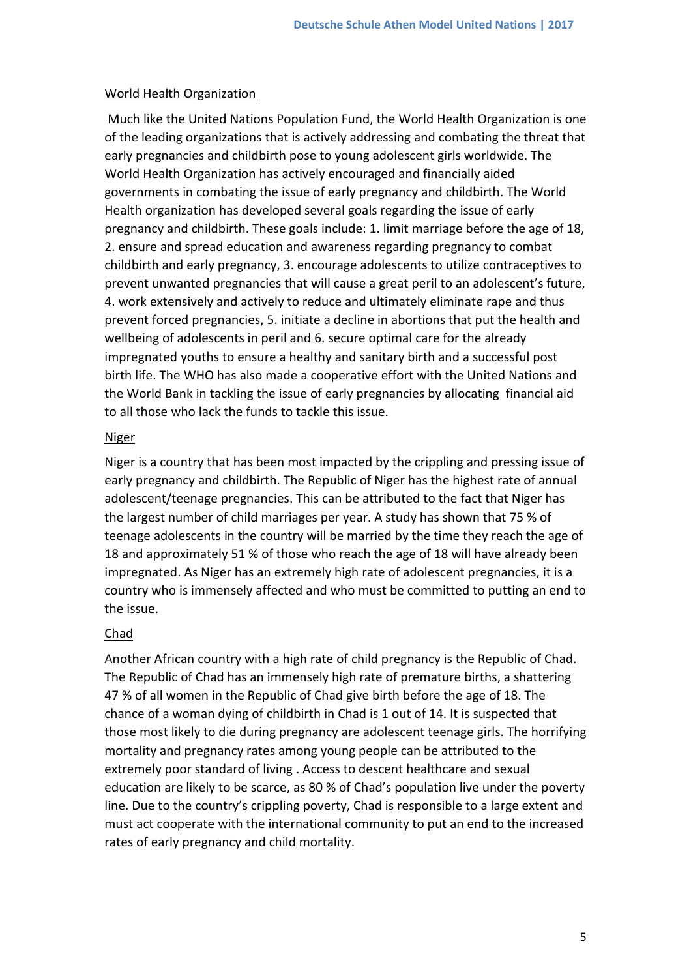#### World Health Organization

Much like the United Nations Population Fund, the World Health Organization is one of the leading organizations that is actively addressing and combating the threat that early pregnancies and childbirth pose to young adolescent girls worldwide. The World Health Organization has actively encouraged and financially aided governments in combating the issue of early pregnancy and childbirth. The World Health organization has developed several goals regarding the issue of early pregnancy and childbirth. These goals include: 1. limit marriage before the age of 18, 2. ensure and spread education and awareness regarding pregnancy to combat childbirth and early pregnancy, 3. encourage adolescents to utilize contraceptives to prevent unwanted pregnancies that will cause a great peril to an adolescent's future, 4. work extensively and actively to reduce and ultimately eliminate rape and thus prevent forced pregnancies, 5. initiate a decline in abortions that put the health and wellbeing of adolescents in peril and 6. secure optimal care for the already impregnated youths to ensure a healthy and sanitary birth and a successful post birth life. The WHO has also made a cooperative effort with the United Nations and the World Bank in tackling the issue of early pregnancies by allocating financial aid to all those who lack the funds to tackle this issue.

#### **Niger**

Niger is a country that has been most impacted by the crippling and pressing issue of early pregnancy and childbirth. The Republic of Niger has the highest rate of annual adolescent/teenage pregnancies. This can be attributed to the fact that Niger has the largest number of child marriages per year. A study has shown that 75 % of teenage adolescents in the country will be married by the time they reach the age of 18 and approximately 51 % of those who reach the age of 18 will have already been impregnated. As Niger has an extremely high rate of adolescent pregnancies, it is a country who is immensely affected and who must be committed to putting an end to the issue.

#### Chad

Another African country with a high rate of child pregnancy is the Republic of Chad. The Republic of Chad has an immensely high rate of premature births, a shattering 47 % of all women in the Republic of Chad give birth before the age of 18. The chance of a woman dying of childbirth in Chad is 1 out of 14. It is suspected that those most likely to die during pregnancy are adolescent teenage girls. The horrifying mortality and pregnancy rates among young people can be attributed to the extremely poor standard of living . Access to descent healthcare and sexual education are likely to be scarce, as 80 % of Chad's population live under the poverty line. Due to the country's crippling poverty, Chad is responsible to a large extent and must act cooperate with the international community to put an end to the increased rates of early pregnancy and child mortality.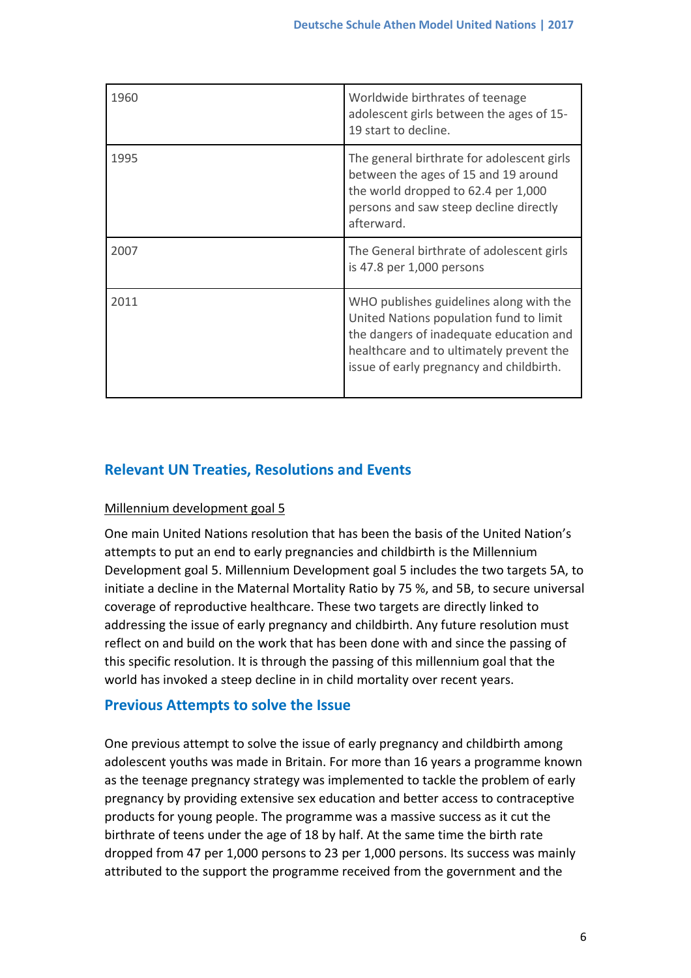| 1960 | Worldwide birthrates of teenage<br>adolescent girls between the ages of 15-<br>19 start to decline.                                                                                                                   |
|------|-----------------------------------------------------------------------------------------------------------------------------------------------------------------------------------------------------------------------|
| 1995 | The general birthrate for adolescent girls<br>between the ages of 15 and 19 around<br>the world dropped to 62.4 per 1,000<br>persons and saw steep decline directly<br>afterward.                                     |
| 2007 | The General birthrate of adolescent girls<br>is 47.8 per 1,000 persons                                                                                                                                                |
| 2011 | WHO publishes guidelines along with the<br>United Nations population fund to limit<br>the dangers of inadequate education and<br>healthcare and to ultimately prevent the<br>issue of early pregnancy and childbirth. |

# **Relevant UN Treaties, Resolutions and Events**

## Millennium development goal 5

One main United Nations resolution that has been the basis of the United Nation's attempts to put an end to early pregnancies and childbirth is the Millennium Development goal 5. Millennium Development goal 5 includes the two targets 5A, to initiate a decline in the Maternal Mortality Ratio by 75 %, and 5B, to secure universal coverage of reproductive healthcare. These two targets are directly linked to addressing the issue of early pregnancy and childbirth. Any future resolution must reflect on and build on the work that has been done with and since the passing of this specific resolution. It is through the passing of this millennium goal that the world has invoked a steep decline in in child mortality over recent years.

## **Previous Attempts to solve the Issue**

One previous attempt to solve the issue of early pregnancy and childbirth among adolescent youths was made in Britain. For more than 16 years a programme known as the teenage pregnancy strategy was implemented to tackle the problem of early pregnancy by providing extensive sex education and better access to contraceptive products for young people. The programme was a massive success as it cut the birthrate of teens under the age of 18 by half. At the same time the birth rate dropped from 47 per 1,000 persons to 23 per 1,000 persons. Its success was mainly attributed to the support the programme received from the government and the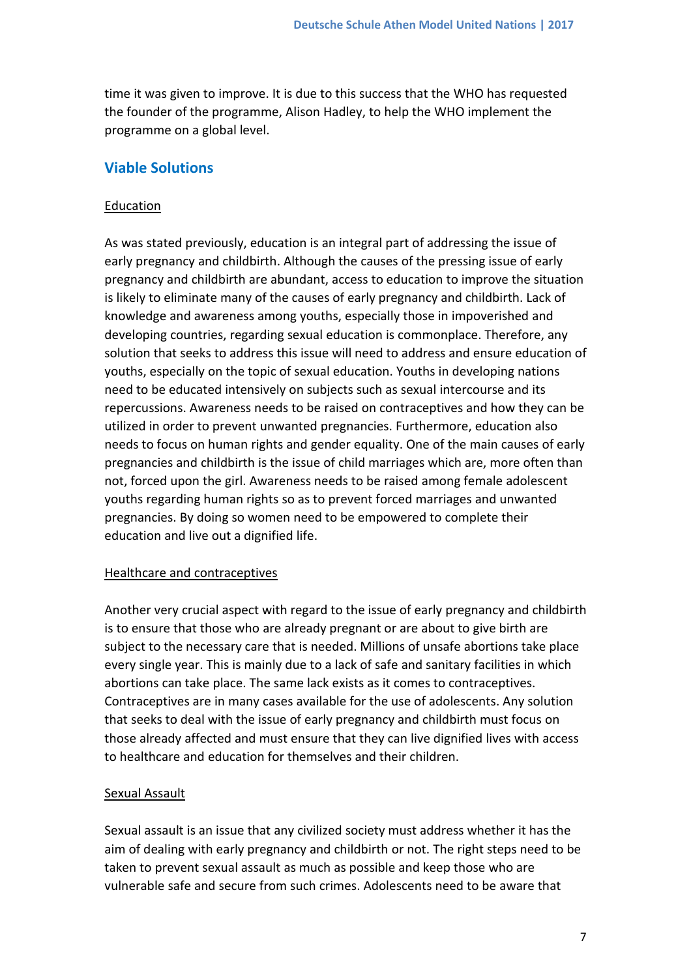time it was given to improve. It is due to this success that the WHO has requested the founder of the programme, Alison Hadley, to help the WHO implement the programme on a global level.

## **Viable Solutions**

### Education

As was stated previously, education is an integral part of addressing the issue of early pregnancy and childbirth. Although the causes of the pressing issue of early pregnancy and childbirth are abundant, access to education to improve the situation is likely to eliminate many of the causes of early pregnancy and childbirth. Lack of knowledge and awareness among youths, especially those in impoverished and developing countries, regarding sexual education is commonplace. Therefore, any solution that seeks to address this issue will need to address and ensure education of youths, especially on the topic of sexual education. Youths in developing nations need to be educated intensively on subjects such as sexual intercourse and its repercussions. Awareness needs to be raised on contraceptives and how they can be utilized in order to prevent unwanted pregnancies. Furthermore, education also needs to focus on human rights and gender equality. One of the main causes of early pregnancies and childbirth is the issue of child marriages which are, more often than not, forced upon the girl. Awareness needs to be raised among female adolescent youths regarding human rights so as to prevent forced marriages and unwanted pregnancies. By doing so women need to be empowered to complete their education and live out a dignified life.

### Healthcare and contraceptives

Another very crucial aspect with regard to the issue of early pregnancy and childbirth is to ensure that those who are already pregnant or are about to give birth are subject to the necessary care that is needed. Millions of unsafe abortions take place every single year. This is mainly due to a lack of safe and sanitary facilities in which abortions can take place. The same lack exists as it comes to contraceptives. Contraceptives are in many cases available for the use of adolescents. Any solution that seeks to deal with the issue of early pregnancy and childbirth must focus on those already affected and must ensure that they can live dignified lives with access to healthcare and education for themselves and their children.

## Sexual Assault

Sexual assault is an issue that any civilized society must address whether it has the aim of dealing with early pregnancy and childbirth or not. The right steps need to be taken to prevent sexual assault as much as possible and keep those who are vulnerable safe and secure from such crimes. Adolescents need to be aware that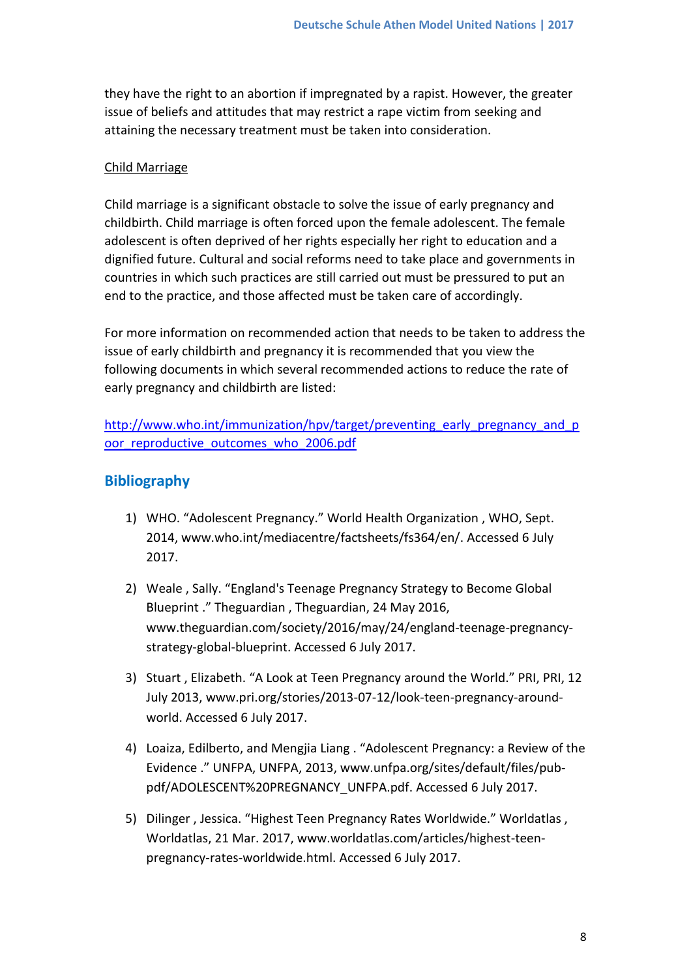they have the right to an abortion if impregnated by a rapist. However, the greater issue of beliefs and attitudes that may restrict a rape victim from seeking and attaining the necessary treatment must be taken into consideration.

### Child Marriage

Child marriage is a significant obstacle to solve the issue of early pregnancy and childbirth. Child marriage is often forced upon the female adolescent. The female adolescent is often deprived of her rights especially her right to education and a dignified future. Cultural and social reforms need to take place and governments in countries in which such practices are still carried out must be pressured to put an end to the practice, and those affected must be taken care of accordingly.

For more information on recommended action that needs to be taken to address the issue of early childbirth and pregnancy it is recommended that you view the following documents in which several recommended actions to reduce the rate of early pregnancy and childbirth are listed:

[http://www.who.int/immunization/hpv/target/preventing\\_early\\_pregnancy\\_and\\_p](http://www.who.int/immunization/hpv/target/preventing_early_pregnancy_and_poor_reproductive_outcomes_who_2006.pdf) oor reproductive outcomes who 2006.pdf

## **Bibliography**

- 1) WHO. "Adolescent Pregnancy." World Health Organization , WHO, Sept. 2014, www.who.int/mediacentre/factsheets/fs364/en/. Accessed 6 July 2017.
- 2) Weale , Sally. "England's Teenage Pregnancy Strategy to Become Global Blueprint ." Theguardian , Theguardian, 24 May 2016, www.theguardian.com/society/2016/may/24/england-teenage-pregnancystrategy-global-blueprint. Accessed 6 July 2017.
- 3) Stuart , Elizabeth. "A Look at Teen Pregnancy around the World." PRI, PRI, 12 July 2013, www.pri.org/stories/2013-07-12/look-teen-pregnancy-aroundworld. Accessed 6 July 2017.
- 4) Loaiza, Edilberto, and Mengjia Liang . "Adolescent Pregnancy: a Review of the Evidence ." UNFPA, UNFPA, 2013, www.unfpa.org/sites/default/files/pubpdf/ADOLESCENT%20PREGNANCY\_UNFPA.pdf. Accessed 6 July 2017.
- 5) Dilinger , Jessica. "Highest Teen Pregnancy Rates Worldwide." Worldatlas , Worldatlas, 21 Mar. 2017, www.worldatlas.com/articles/highest-teenpregnancy-rates-worldwide.html. Accessed 6 July 2017.